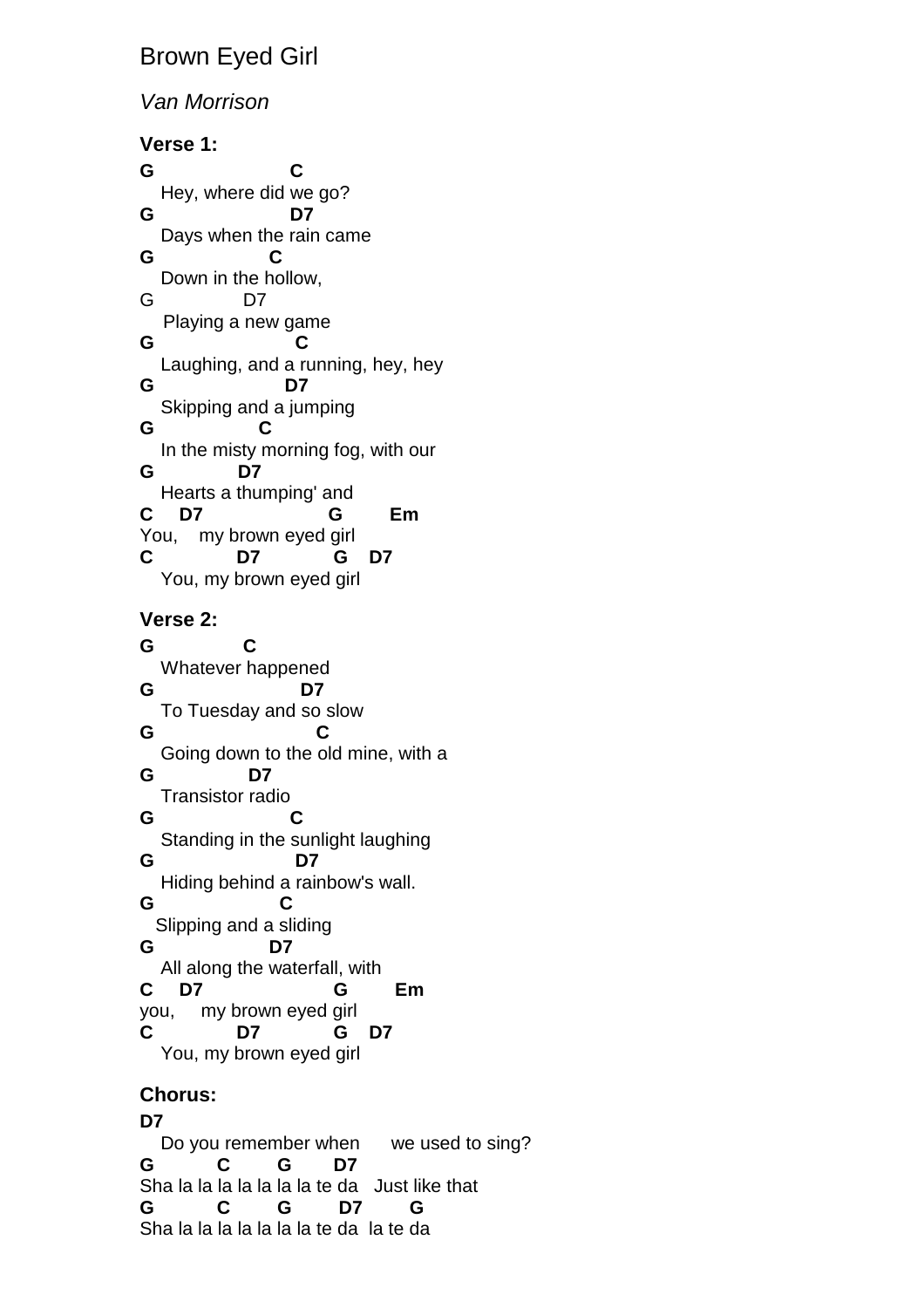# Brown Eyed Girl

### Van Morrison

**Verse 1: G C**  Hey, where did we go? **G D7**  Days when the rain came **G C**  Down in the hollow, G D7 Playing a new game **G C**  Laughing, and a running, hey, hey **G D7**  Skipping and a jumping **G C**  In the misty morning fog, with our **G D7**  Hearts a thumping' and **C D7 G Em**  You, my brown eyed girl **C D7 G D7**  You, my brown eyed girl **Verse 2: G C**  Whatever happened **G D7**  To Tuesday and so slow **G C**  Going down to the old mine, with a **G D7**  Transistor radio **G C**  Standing in the sunlight laughing **G D7**  Hiding behind a rainbow's wall. **G C** Slipping and a sliding **G D7**  All along the waterfall, with **C D7 G Em** you, my brown eyed girl **C D7 G D7**  You, my brown eyed girl

#### **Chorus:**

**D7**  Do you remember when we used to sing? **G C G D7**  Sha la la la la la la la te da Just like that **G C G D7 G**  Sha la la la la la la la te da la te da